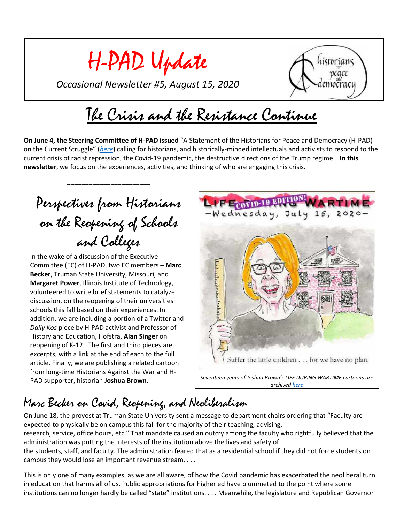# H-PAD Update

*Occasional Newsletter #5, August 15, 2020*



## The Crisis and the Resistance Continue

**On June 4, the Steering Committee of H-PAD issued** "A Statement of the Historians for Peace and Democracy (H-PAD) on the Current Struggle" (*[here](https://www.historiansforpeace.org/)*) calling for historians, and historically-minded intellectuals and activists to respond to the current crisis of racist repression, the Covid-19 pandemic, the destructive directions of the Trump regime. **In this newsletter**, we focus on the experiences, activities, and thinking of who are engaging this crisis.

## Perspectives from Historians on the Reopening of Schools and Colleges

\_\_\_\_\_\_\_\_\_\_\_\_\_\_\_\_\_\_\_\_\_\_\_

In the wake of a discussion of the Executive Committee (EC) of H-PAD, two EC members – **Marc Becker**, Truman State University, Missouri, and **Margaret Power**, Illinois Institute of Technology, volunteered to write brief statements to catalyze discussion, on the reopening of their universities schools this fall based on their experiences. In addition, we are including a portion of a Twitter and *Daily Kos* piece by H-PAD activist and Professor of History and Education, Hofstra, **Alan Singer** on reopening of K-12. The first and third pieces are excerpts, with a link at the end of each to the full article. Finally, we are publishing a related cartoon from long-time Historians Against the War and H-PAD supporter, historian **Joshua Brown**.



*archived [here](http://www.joshbrownnyc.com/ldw.htm)*

#### Marc Becker on Covid, Reopening, and Neoliberalism

On June 18, the provost at Truman State University sent a message to department chairs ordering that "Faculty are expected to physically be on campus this fall for the majority of their teaching, advising, research, service, office hours, etc." That mandate caused an outcry among the faculty who rightfully believed that the administration was putting the interests of the institution above the lives and safety of the students, staff, and faculty. The administration feared that as a residential school if they did not force students on campus they would lose an important revenue stream. . . .

This is only one of many examples, as we are all aware, of how the Covid pandemic has exacerbated the neoliberal turn in education that harms all of us. Public appropriations for higher ed have plummeted to the point where some institutions can no longer hardly be called "state" institutions. . . . Meanwhile, the legislature and Republican Governor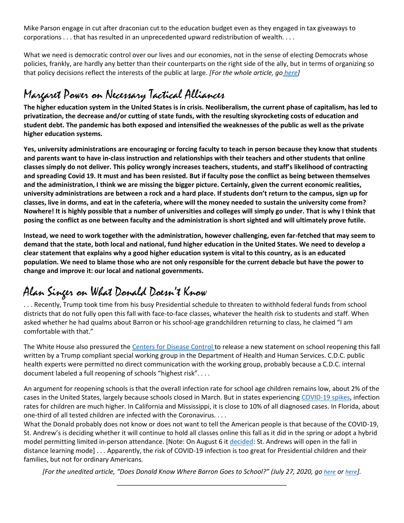Mike Parson engage in cut after draconian cut to the education budget even as they engaged in tax giveaways to corporations . . . that has resulted in an unprecedented upward redistribution of wealth. . . .

What we need is democratic control over our lives and our economies, not in the sense of electing Democrats whose policies, frankly, are hardly any better than their counterparts on the right side of the ally, but in terms of organizing so that policy decisions reflect the interests of the public at large. *[For the whole article, go [here\]](https://www.historiansforpeace.org/2020/08/13/marc-becker-on-covid-reopening-and-neoliberalism/)*

#### Margaret Power on Necessary Tactical Alliances

**The higher education system in the United States is in crisis. Neoliberalism, the current phase of capitalism, has led to privatization, the decrease and/or cutting of state funds, with the resulting skyrocketing costs of education and student debt. The pandemic has both exposed and intensified the weaknesses of the public as well as the private higher education systems.**

**Yes, university administrations are encouraging or forcing faculty to teach in person because they know that students and parents want to have in-class instruction and relationships with their teachers and other students that online classes simply do not deliver. This policy wrongly increases teachers, students, and staff's likelihood of contracting and spreading Covid 19. It must and has been resisted. But if faculty pose the conflict as being between themselves and the administration, I think we are missing the bigger picture. Certainly, given the current economic realities, university administrations are between a rock and a hard place. If students don't return to the campus, sign up for classes, live in dorms, and eat in the cafeteria, where will the money needed to sustain the university come from? Nowhere! It is highly possible that a number of universities and colleges will simply go under. That is why I think that posing the conflict as one between faculty and the administration is short sighted and will ultimately prove futile.** 

**Instead, we need to work together with the administration, however challenging, even far-fetched that may seem to demand that the state, both local and national, fund higher education in the United States. We need to develop a clear statement that explains why a good higher education system is vital to this country, as is an educated population. We need to blame those who are not only responsible for the current debacle but have the power to change and improve it: our local and national governments.** 

#### Alan Singer on What Donald Doesn't Know

. . . Recently, Trump took time from his busy Presidential schedule to threaten to withhold federal funds from school districts that do not fully open this fall with face-to-face classes, whatever the health risk to students and staff. When asked whether he had qualms about Barron or his school-age grandchildren returning to class, he claimed "I am comfortable with that."

The White House also pressured the [Centers for Disease Control t](https://www.nytimes.com/2020/07/24/health/cdc-schools-coronavirus.html)o release a new statement on school reopening this fall written by a Trump compliant special working group in the Department of Health and Human Services. C.D.C. public health experts were permitted no direct communication with the working group, probably because a C.D.C. internal document labeled a full reopening of schools "highest risk". . . .

An argument for reopening schools is that the overall infection rate for school age children remains low, about 2% of the cases in the United States, largely because schools closed in March. But in states experiencing [COVID-19 spikes,](https://www.bloomberg.com/news/articles/2020-07-16/childhood-covid-19-infections-mount-with-schools-eyeing-openings) infection rates for children are much higher. In California and Mississippi, it is close to 10% of all diagnosed cases. In Florida, about one-third of all tested children are infected with the Coronavirus. . . .

What the Donald probably does not know or does not want to tell the American people is that because of the COVID-19, St. Andrew's is deciding whether it will continue to hold all classes online this fall as it did in the spring or adopt a hybrid model permitting limited in-person attendance. [Note: On August 6 it [decided:](https://www.saes.org/covid-19-information) St. Andrews will open in the fall in distance learning mode] . . . Apparently, the risk of COVID-19 infection is too great for Presidential children and their families, but not for ordinary Americans*.* 

*[For the unedited article, "Does Donald Know Where Barron Goes to School?" (July 27, 2020, go [here](https://www.dailykos.com/stories/2020/7/27/1964113/-Does-Donald-Know-Where-Barron-Goes-to-School?_=2020-07-27T03:53:34.631-07:00) or [here](https://twitter.com/AlanJSinger1)].* \_\_\_\_\_\_\_\_\_\_\_\_\_\_\_\_\_\_\_\_\_\_\_\_\_\_\_\_\_\_\_\_\_\_\_\_\_\_\_\_\_\_\_\_\_\_\_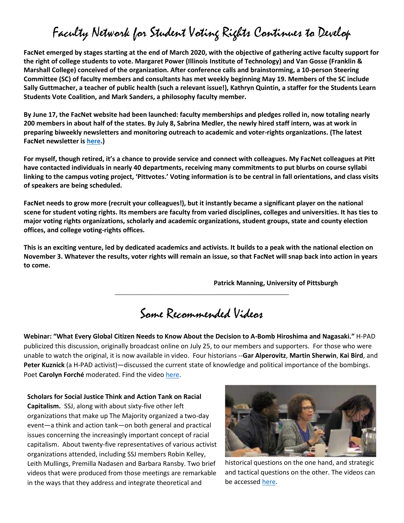#### Faculty Network for Student Voting Rights Continues to Develop

**FacNet emerged by stages starting at the end of March 2020, with the objective of gathering active faculty support for the right of college students to vote. Margaret Power (Illinois Institute of Technology) and Van Gosse (Franklin & Marshall College) conceived of the organization. After conference calls and brainstorming, a 10-person Steering Committee (SC) of faculty members and consultants has met weekly beginning May 19. Members of the SC include Sally Guttmacher, a teacher of public health (such a relevant issue!), Kathryn Quintin, a staffer for the Students Learn Students Vote Coalition, and Mark Sanders, a philosophy faculty member.**

**By June 17, the FacNet website had been launched: faculty memberships and pledges rolled in, now totaling nearly 200 members in about half of the states. By July 8, Sabrina Medler, the newly hired staff intern, was at work in preparing biweekly newsletters and monitoring outreach to academic and voter-rights organizations. (The latest FacNet newsletter i[s here.](https://mailchi.mp/a7764ed1492c/welcome-faculty-network-newsletter-july-2021525))**

**For myself, though retired, it's a chance to provide service and connect with colleagues. My FacNet colleagues at Pitt have contacted individuals in nearly 40 departments, receiving many commitments to put blurbs on course syllabi linking to the campus voting project, 'Pittvotes.' Voting information is to be central in fall orientations, and class visits of speakers are being scheduled.**

**FacNet needs to grow more (recruit your colleagues!), but it instantly became a significant player on the national scene for student voting rights. Its members are faculty from varied disciplines, colleges and universities. It has ties to major voting rights organizations, scholarly and academic organizations, student groups, state and county election offices, and college voting-rights offices.**

**This is an exciting venture, led by dedicated academics and activists. It builds to a peak with the national election on November 3. Whatever the results, voter rights will remain an issue, so that FacNet will snap back into action in years to come.** 

**Patrick Manning, University of Pittsburgh**

Some Recommended Videos

\_\_\_\_\_\_\_\_\_\_\_\_\_\_\_\_\_\_\_\_\_\_\_\_\_\_\_\_\_\_\_\_\_\_\_\_\_\_\_\_\_\_\_\_\_\_\_\_

**Webinar: "What Every Global Citizen Needs to Know About the Decision to A-Bomb Hiroshima and Nagasaki."** H-PAD publicized this discussion, originally broadcast online on July 25, to our members and supporters. For those who were unable to watch the original, it is now available in video. Four historians --**Gar Alperovitz**, **Martin Sherwin**, **Kai Bird**, and **Peter Kuznick** (a H-PAD activist)—discussed the current state of knowledge and political importance of the bombings. Poet **Carolyn Forché** moderated. Find the video [here.](https://american.zoom.us/rec/play/7MArd7-pqGk3E9Wc5ASDA6R5W466L6-s2ycf__MMmke1U3VVMFOnbuEXN-pogNv6injIGp_ZrZdMzoFo?continueMode=true&_x_zm_rtaid=rSB235hQSJ6d2aWSVOlbuA.1597293683105.d8c652b2e79898cecd81eb9658014e43&_x_zm_rhtaid=385)

**Scholars for Social Justice Think and Action Tank on Racial Capitalism.** SSJ, along with about sixty-five other left organizations that make up The Majority organized a two-day event—a think and action tank—on both general and practical issues concerning the increasingly important concept of racial capitalism. About twenty-five representatives of various activist organizations attended, including SSJ members Robin Kelley, Leith Mullings, Premilla Nadasen and Barbara Ransby. Two brief videos that were produced from those meetings are remarkable in the ways that they address and integrate theoretical and



historical questions on the one hand, and strategic and tactical questions on the other. The videos can be accessed [here.](http://scholarsforsocialjustice.com/ssj-think-and-action-tank-on-racial-capitalism/)